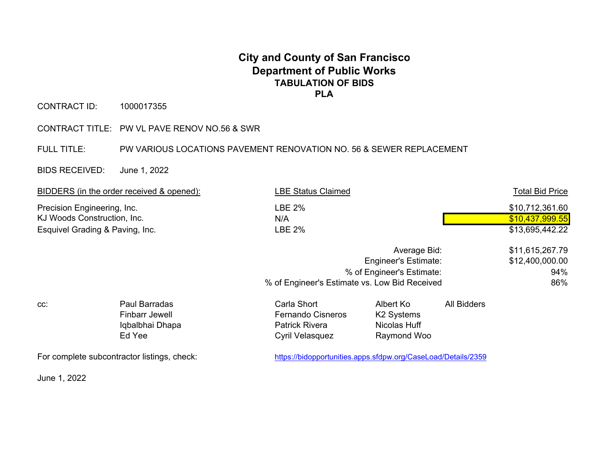## **City and County of San Francisco Department of Public Works TABULATION OF BIDS PLA**

CONTRACT ID: 1000017355

CONTRACT TITLE: PW VL PAVE RENOV NO.56 & SWR

FULL TITLE: PW VARIOUS LOCATIONS PAVEMENT RENOVATION NO. 56 & SEWER REPLACEMENT

BIDS RECEIVED: June 1, 2022

| BIDDERS (in the order received & opened):                                                     |                                                              | <b>LBE Status Claimed</b>                                                                  |                                                                    | <b>Total Bid Price</b> |  |  |
|-----------------------------------------------------------------------------------------------|--------------------------------------------------------------|--------------------------------------------------------------------------------------------|--------------------------------------------------------------------|------------------------|--|--|
| Precision Engineering, Inc.<br>KJ Woods Construction, Inc.<br>Esquivel Grading & Paving, Inc. |                                                              | LBE 2%<br>N/A<br><b>LBE 2%</b>                                                             |                                                                    |                        |  |  |
|                                                                                               |                                                              | % of Engineer's Estimate:<br>% of Engineer's Estimate vs. Low Bid Received                 | \$11,615,267.79<br>\$12,400,000.00<br>94%<br>86%                   |                        |  |  |
| CC:                                                                                           | Paul Barradas<br>Finbarr Jewell<br>Iqbalbhai Dhapa<br>Ed Yee | Carla Short<br><b>Fernando Cisneros</b><br><b>Patrick Rivera</b><br><b>Cyril Velasquez</b> | Albert Ko<br>K <sub>2</sub> Systems<br>Nicolas Huff<br>Raymond Woo | <b>All Bidders</b>     |  |  |
| For complete subcontractor listings, check:                                                   |                                                              | https://bidopportunities.apps.sfdpw.org/CaseLoad/Details/2359                              |                                                                    |                        |  |  |

June 1, 2022